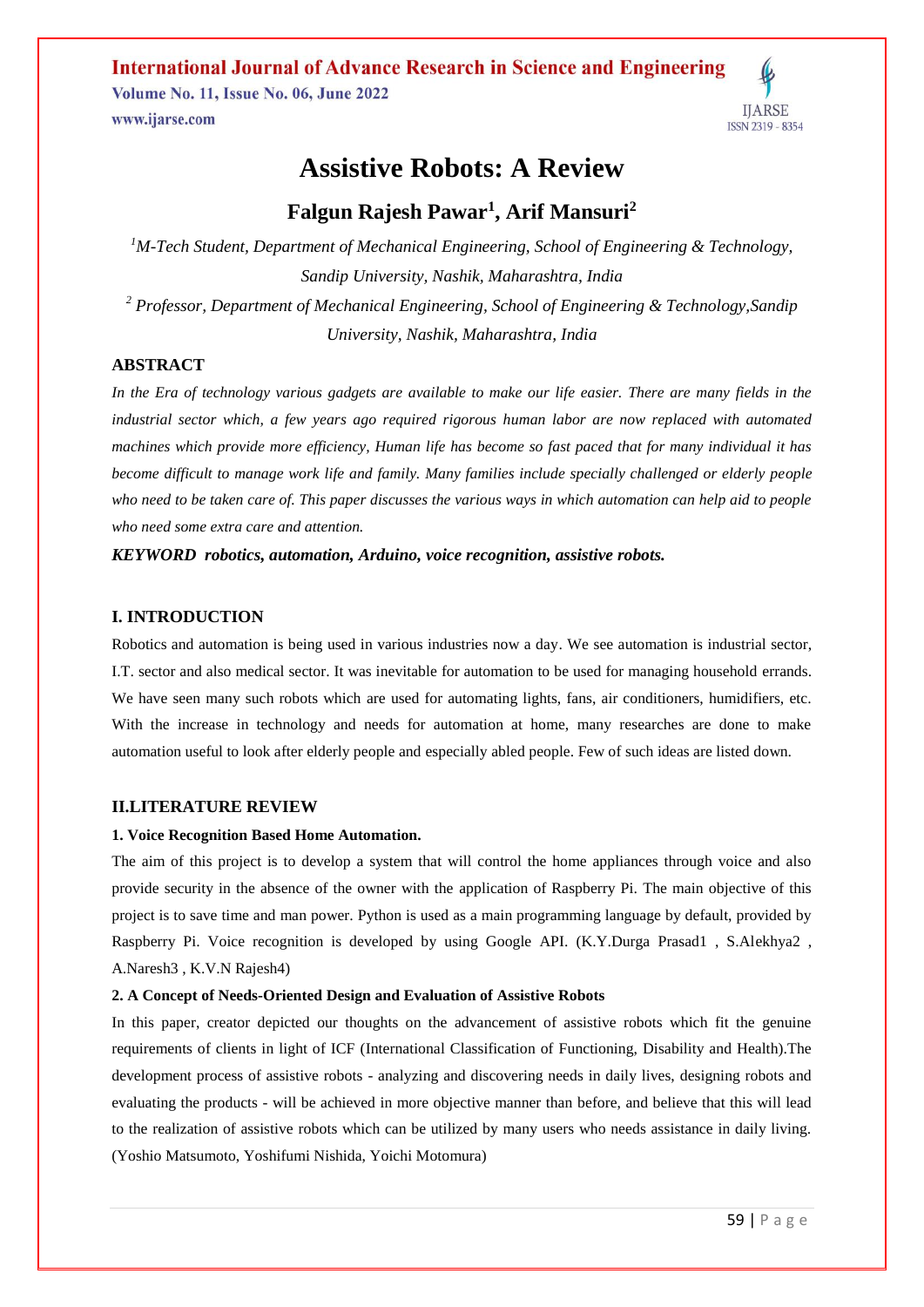**International Journal of Advance Research in Science and Engineering Volume No. 11, Issue No. 06, June 2022 IIARSE** www.ijarse.com ISSN 2319 - 8354

# **Assistive Robots: A Review**

# **Falgun Rajesh Pawar<sup>1</sup> , Arif Mansuri<sup>2</sup>**

*<sup>1</sup>M-Tech Student, Department of Mechanical Engineering, School of Engineering & Technology, Sandip University, Nashik, Maharashtra, India <sup>2</sup> Professor, Department of Mechanical Engineering, School of Engineering & Technology,Sandip University, Nashik, Maharashtra, India*

# **ABSTRACT**

*In the Era of technology various gadgets are available to make our life easier. There are many fields in the industrial sector which, a few years ago required rigorous human labor are now replaced with automated machines which provide more efficiency, Human life has become so fast paced that for many individual it has become difficult to manage work life and family. Many families include specially challenged or elderly people who need to be taken care of. This paper discusses the various ways in which automation can help aid to people who need some extra care and attention.*

# *KEYWORD robotics, automation, Arduino, voice recognition, assistive robots.*

#### **I. INTRODUCTION**

Robotics and automation is being used in various industries now a day. We see automation is industrial sector, I.T. sector and also medical sector. It was inevitable for automation to be used for managing household errands. We have seen many such robots which are used for automating lights, fans, air conditioners, humidifiers, etc. With the increase in technology and needs for automation at home, many researches are done to make automation useful to look after elderly people and especially abled people. Few of such ideas are listed down.

# **II.LITERATURE REVIEW**

#### **1. Voice Recognition Based Home Automation.**

The aim of this project is to develop a system that will control the home appliances through voice and also provide security in the absence of the owner with the application of Raspberry Pi. The main objective of this project is to save time and man power. Python is used as a main programming language by default, provided by Raspberry Pi. Voice recognition is developed by using Google API. (K.Y.Durga Prasad1, S.Alekhya2, A.Naresh3 , K.V.N Rajesh4)

# **2. A Concept of Needs-Oriented Design and Evaluation of Assistive Robots**

In this paper, creator depicted our thoughts on the advancement of assistive robots which fit the genuine requirements of clients in light of ICF (International Classification of Functioning, Disability and Health).The development process of assistive robots - analyzing and discovering needs in daily lives, designing robots and evaluating the products - will be achieved in more objective manner than before, and believe that this will lead to the realization of assistive robots which can be utilized by many users who needs assistance in daily living. (Yoshio Matsumoto, Yoshifumi Nishida, Yoichi Motomura)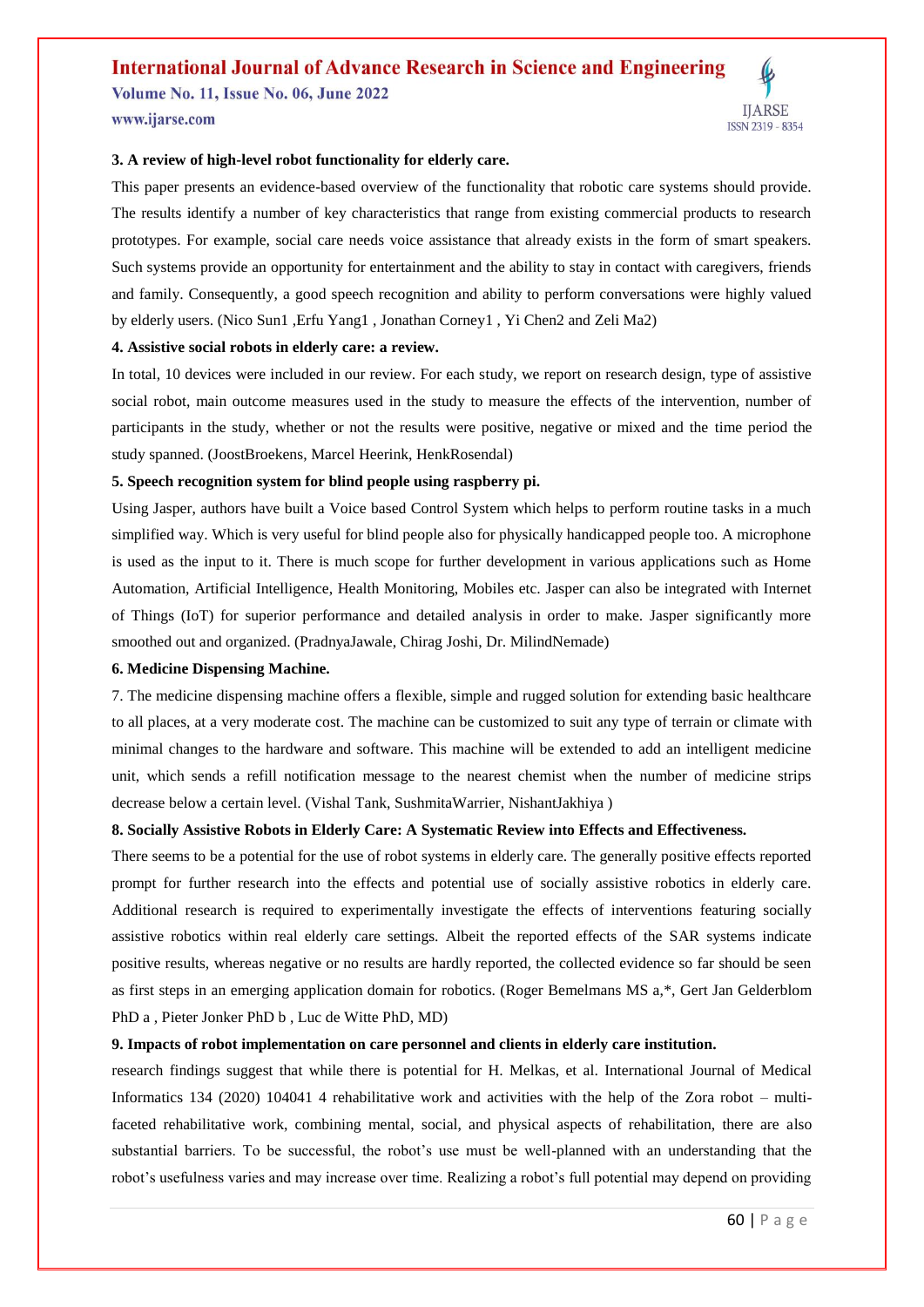# **International Journal of Advance Research in Science and Engineering**

**Volume No. 11, Issue No. 06, June 2022** www.ijarse.com



# **3. A review of high-level robot functionality for elderly care.**

This paper presents an evidence-based overview of the functionality that robotic care systems should provide. The results identify a number of key characteristics that range from existing commercial products to research prototypes. For example, social care needs voice assistance that already exists in the form of smart speakers. Such systems provide an opportunity for entertainment and the ability to stay in contact with caregivers, friends and family. Consequently, a good speech recognition and ability to perform conversations were highly valued by elderly users. (Nico Sun1 ,Erfu Yang1 , Jonathan Corney1 , Yi Chen2 and Zeli Ma2)

#### **4. Assistive social robots in elderly care: a review.**

In total, 10 devices were included in our review. For each study, we report on research design, type of assistive social robot, main outcome measures used in the study to measure the effects of the intervention, number of participants in the study, whether or not the results were positive, negative or mixed and the time period the study spanned. (JoostBroekens, Marcel Heerink, HenkRosendal)

# **5. Speech recognition system for blind people using raspberry pi.**

Using Jasper, authors have built a Voice based Control System which helps to perform routine tasks in a much simplified way. Which is very useful for blind people also for physically handicapped people too. A microphone is used as the input to it. There is much scope for further development in various applications such as Home Automation, Artificial Intelligence, Health Monitoring, Mobiles etc. Jasper can also be integrated with Internet of Things (IoT) for superior performance and detailed analysis in order to make. Jasper significantly more smoothed out and organized. (PradnyaJawale, Chirag Joshi, Dr. MilindNemade)

#### **6. Medicine Dispensing Machine.**

7. The medicine dispensing machine offers a flexible, simple and rugged solution for extending basic healthcare to all places, at a very moderate cost. The machine can be customized to suit any type of terrain or climate with minimal changes to the hardware and software. This machine will be extended to add an intelligent medicine unit, which sends a refill notification message to the nearest chemist when the number of medicine strips decrease below a certain level. (Vishal Tank, SushmitaWarrier, NishantJakhiya )

#### **8. Socially Assistive Robots in Elderly Care: A Systematic Review into Effects and Effectiveness.**

There seems to be a potential for the use of robot systems in elderly care. The generally positive effects reported prompt for further research into the effects and potential use of socially assistive robotics in elderly care. Additional research is required to experimentally investigate the effects of interventions featuring socially assistive robotics within real elderly care settings. Albeit the reported effects of the SAR systems indicate positive results, whereas negative or no results are hardly reported, the collected evidence so far should be seen as first steps in an emerging application domain for robotics. (Roger Bemelmans MS a,\*, Gert Jan Gelderblom PhD a , Pieter Jonker PhD b , Luc de Witte PhD, MD)

# **9. Impacts of robot implementation on care personnel and clients in elderly care institution.**

research findings suggest that while there is potential for H. Melkas, et al. International Journal of Medical Informatics 134 (2020) 104041 4 rehabilitative work and activities with the help of the Zora robot – multifaceted rehabilitative work, combining mental, social, and physical aspects of rehabilitation, there are also substantial barriers. To be successful, the robot's use must be well-planned with an understanding that the robot's usefulness varies and may increase over time. Realizing a robot's full potential may depend on providing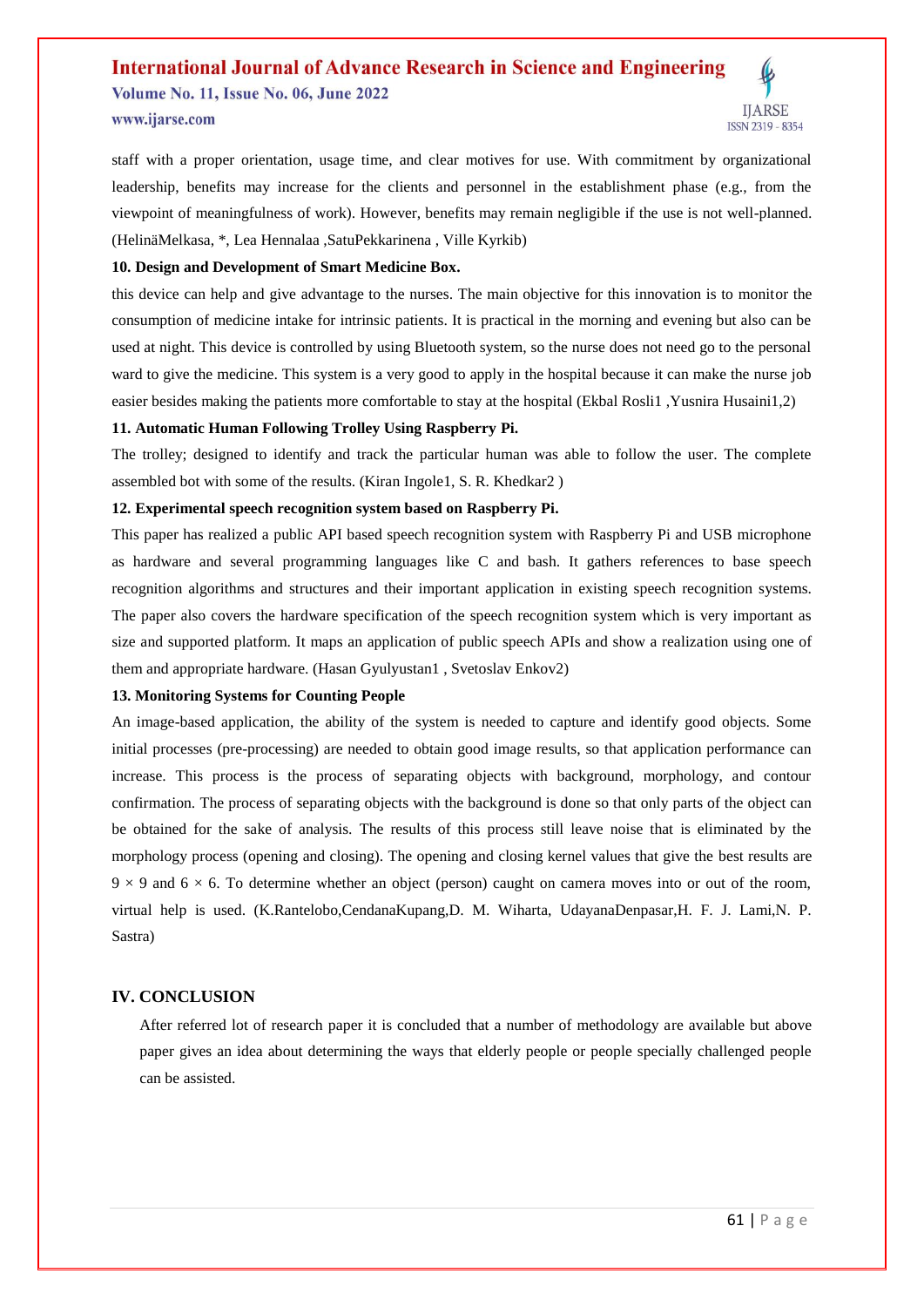# **International Journal of Advance Research in Science and Engineering**

**Volume No. 11, Issue No. 06, June 2022** www.ijarse.com

staff with a proper orientation, usage time, and clear motives for use. With commitment by organizational leadership, benefits may increase for the clients and personnel in the establishment phase (e.g., from the viewpoint of meaningfulness of work). However, benefits may remain negligible if the use is not well-planned. (HelinäMelkasa, \*, Lea Hennalaa ,SatuPekkarinena , Ville Kyrkib)

#### **10. Design and Development of Smart Medicine Box.**

this device can help and give advantage to the nurses. The main objective for this innovation is to monitor the consumption of medicine intake for intrinsic patients. It is practical in the morning and evening but also can be used at night. This device is controlled by using Bluetooth system, so the nurse does not need go to the personal ward to give the medicine. This system is a very good to apply in the hospital because it can make the nurse job easier besides making the patients more comfortable to stay at the hospital (Ekbal Rosli1 ,Yusnira Husaini1,2)

# **11. Automatic Human Following Trolley Using Raspberry Pi.**

The trolley; designed to identify and track the particular human was able to follow the user. The complete assembled bot with some of the results. (Kiran Ingole1, S. R. Khedkar2 )

#### **12. Experimental speech recognition system based on Raspberry Pi.**

This paper has realized a public API based speech recognition system with Raspberry Pi and USB microphone as hardware and several programming languages like C and bash. It gathers references to base speech recognition algorithms and structures and their important application in existing speech recognition systems. The paper also covers the hardware specification of the speech recognition system which is very important as size and supported platform. It maps an application of public speech APIs and show a realization using one of them and appropriate hardware. (Hasan Gyulyustan1 , Svetoslav Enkov2)

# **13. Monitoring Systems for Counting People**

An image-based application, the ability of the system is needed to capture and identify good objects. Some initial processes (pre-processing) are needed to obtain good image results, so that application performance can increase. This process is the process of separating objects with background, morphology, and contour confirmation. The process of separating objects with the background is done so that only parts of the object can be obtained for the sake of analysis. The results of this process still leave noise that is eliminated by the morphology process (opening and closing). The opening and closing kernel values that give the best results are  $9 \times 9$  and  $6 \times 6$ . To determine whether an object (person) caught on camera moves into or out of the room, virtual help is used. (K.Rantelobo,CendanaKupang,D. M. Wiharta, UdayanaDenpasar,H. F. J. Lami,N. P. Sastra)

# **IV. CONCLUSION**

After referred lot of research paper it is concluded that a number of methodology are available but above paper gives an idea about determining the ways that elderly people or people specially challenged people can be assisted.

**IIARSE** 

ISSN 2319 - 8354